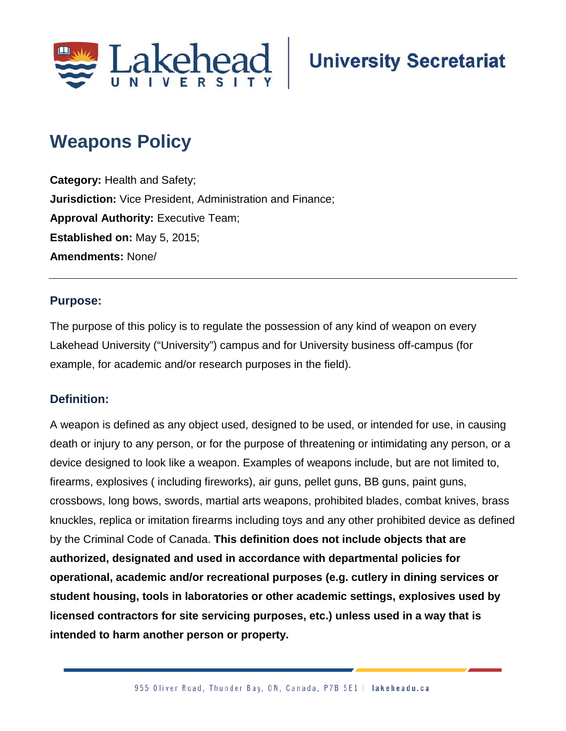

# **Weapons Policy**

**Category:** Health and Safety; **Jurisdiction:** Vice President, Administration and Finance; **Approval Authority: Executive Team; Established on:** May 5, 2015; **Amendments:** None/

### **Purpose:**

The purpose of this policy is to regulate the possession of any kind of weapon on every Lakehead University ("University") campus and for University business off-campus (for example, for academic and/or research purposes in the field).

## **Definition:**

A weapon is defined as any object used, designed to be used, or intended for use, in causing death or injury to any person, or for the purpose of threatening or intimidating any person, or a device designed to look like a weapon. Examples of weapons include, but are not limited to, firearms, explosives ( including fireworks), air guns, pellet guns, BB guns, paint guns, crossbows, long bows, swords, martial arts weapons, prohibited blades, combat knives, brass knuckles, replica or imitation firearms including toys and any other prohibited device as defined by the Criminal Code of Canada. **This definition does not include objects that are authorized, designated and used in accordance with departmental policies for operational, academic and/or recreational purposes (e.g. cutlery in dining services or student housing, tools in laboratories or other academic settings, explosives used by licensed contractors for site servicing purposes, etc.) unless used in a way that is intended to harm another person or property.**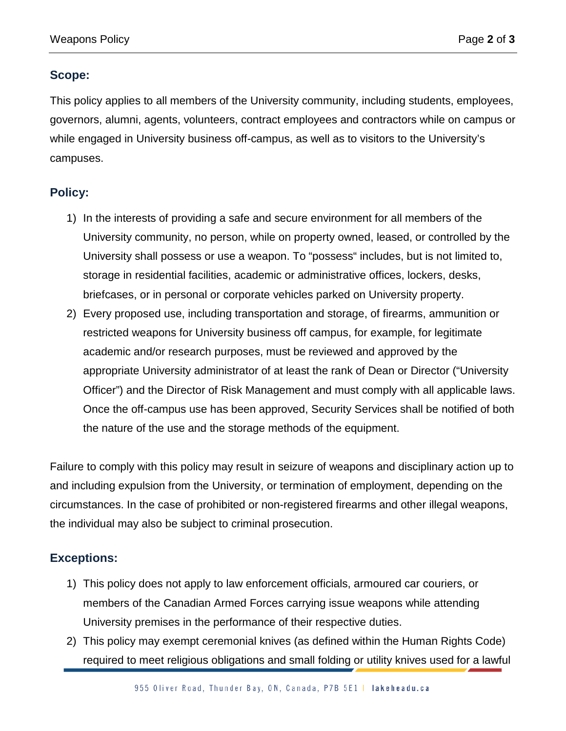#### **Scope:**

This policy applies to all members of the University community, including students, employees, governors, alumni, agents, volunteers, contract employees and contractors while on campus or while engaged in University business off-campus, as well as to visitors to the University's campuses.

## **Policy:**

- 1) In the interests of providing a safe and secure environment for all members of the University community, no person, while on property owned, leased, or controlled by the University shall possess or use a weapon. To "possess" includes, but is not limited to, storage in residential facilities, academic or administrative offices, lockers, desks, briefcases, or in personal or corporate vehicles parked on University property.
- 2) Every proposed use, including transportation and storage, of firearms, ammunition or restricted weapons for University business off campus, for example, for legitimate academic and/or research purposes, must be reviewed and approved by the appropriate University administrator of at least the rank of Dean or Director ("University Officer") and the Director of Risk Management and must comply with all applicable laws. Once the off-campus use has been approved, Security Services shall be notified of both the nature of the use and the storage methods of the equipment.

Failure to comply with this policy may result in seizure of weapons and disciplinary action up to and including expulsion from the University, or termination of employment, depending on the circumstances. In the case of prohibited or non-registered firearms and other illegal weapons, the individual may also be subject to criminal prosecution.

## **Exceptions:**

- 1) This policy does not apply to law enforcement officials, armoured car couriers, or members of the Canadian Armed Forces carrying issue weapons while attending University premises in the performance of their respective duties.
- 2) This policy may exempt ceremonial knives (as defined within the Human Rights Code) required to meet religious obligations and small folding or utility knives used for a lawful